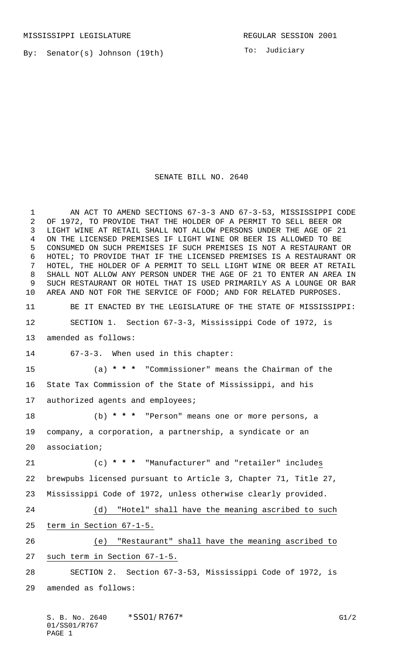By: Senator(s) Johnson (19th)

To: Judiciary

## SENATE BILL NO. 2640

1 AN ACT TO AMEND SECTIONS 67-3-3 AND 67-3-53, MISSISSIPPI CODE OF 1972, TO PROVIDE THAT THE HOLDER OF A PERMIT TO SELL BEER OR LIGHT WINE AT RETAIL SHALL NOT ALLOW PERSONS UNDER THE AGE OF 21 ON THE LICENSED PREMISES IF LIGHT WINE OR BEER IS ALLOWED TO BE CONSUMED ON SUCH PREMISES IF SUCH PREMISES IS NOT A RESTAURANT OR HOTEL; TO PROVIDE THAT IF THE LICENSED PREMISES IS A RESTAURANT OR HOTEL, THE HOLDER OF A PERMIT TO SELL LIGHT WINE OR BEER AT RETAIL SHALL NOT ALLOW ANY PERSON UNDER THE AGE OF 21 TO ENTER AN AREA IN SUCH RESTAURANT OR HOTEL THAT IS USED PRIMARILY AS A LOUNGE OR BAR AREA AND NOT FOR THE SERVICE OF FOOD; AND FOR RELATED PURPOSES. BE IT ENACTED BY THE LEGISLATURE OF THE STATE OF MISSISSIPPI: SECTION 1. Section 67-3-3, Mississippi Code of 1972, is amended as follows: 67-3-3. When used in this chapter: (a) **\* \* \*** "Commissioner" means the Chairman of the State Tax Commission of the State of Mississippi, and his authorized agents and employees; (b) **\* \* \*** "Person" means one or more persons, a company, a corporation, a partnership, a syndicate or an association; (c) **\* \* \*** "Manufacturer" and "retailer" includes brewpubs licensed pursuant to Article 3, Chapter 71, Title 27, Mississippi Code of 1972, unless otherwise clearly provided. (d) "Hotel" shall have the meaning ascribed to such term in Section 67-1-5. (e) "Restaurant" shall have the meaning ascribed to such term in Section 67-1-5. SECTION 2. Section 67-3-53, Mississippi Code of 1972, is amended as follows: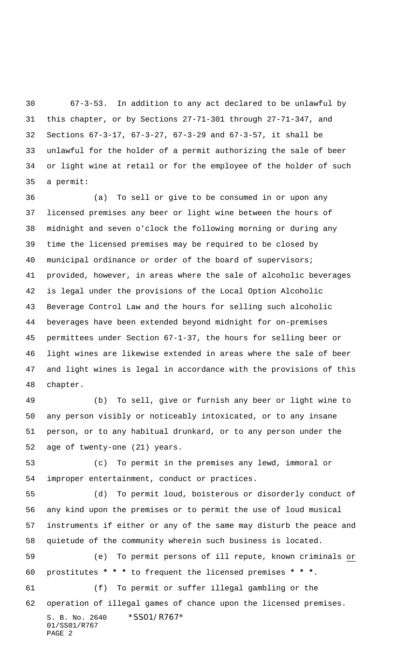67-3-53. In addition to any act declared to be unlawful by this chapter, or by Sections 27-71-301 through 27-71-347, and Sections 67-3-17, 67-3-27, 67-3-29 and 67-3-57, it shall be unlawful for the holder of a permit authorizing the sale of beer or light wine at retail or for the employee of the holder of such a permit:

 (a) To sell or give to be consumed in or upon any licensed premises any beer or light wine between the hours of midnight and seven o'clock the following morning or during any time the licensed premises may be required to be closed by municipal ordinance or order of the board of supervisors; provided, however, in areas where the sale of alcoholic beverages is legal under the provisions of the Local Option Alcoholic Beverage Control Law and the hours for selling such alcoholic beverages have been extended beyond midnight for on-premises permittees under Section 67-1-37, the hours for selling beer or light wines are likewise extended in areas where the sale of beer and light wines is legal in accordance with the provisions of this chapter.

 (b) To sell, give or furnish any beer or light wine to any person visibly or noticeably intoxicated, or to any insane person, or to any habitual drunkard, or to any person under the age of twenty-one (21) years.

 (c) To permit in the premises any lewd, immoral or improper entertainment, conduct or practices.

S. B. No. 2640 \* SS01/R767\* 01/SS01/R767 PAGE 2 (d) To permit loud, boisterous or disorderly conduct of any kind upon the premises or to permit the use of loud musical instruments if either or any of the same may disturb the peace and quietude of the community wherein such business is located. (e) To permit persons of ill repute, known criminals or prostitutes **\* \* \*** to frequent the licensed premises **\* \* \***. (f) To permit or suffer illegal gambling or the operation of illegal games of chance upon the licensed premises.